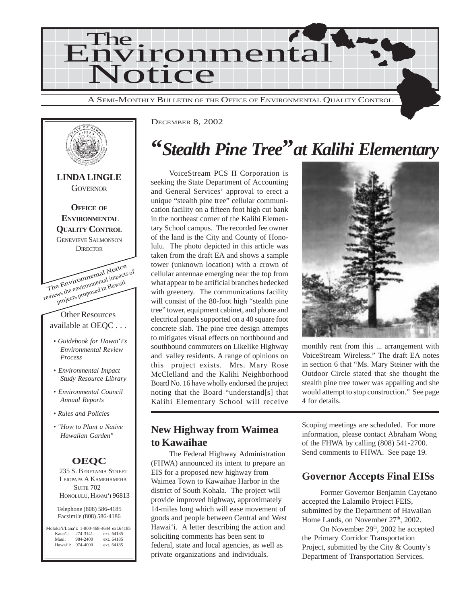



DECEMBER 8, 2002

## **"***Stealth Pine Tree***"***at Kalihi Elementary*

VoiceStream PCS II Corporation is seeking the State Department of Accounting and General Services' approval to erect a unique "stealth pine tree" cellular communication facility on a fifteen foot high cut bank in the northeast corner of the Kalihi Elementary School campus. The recorded fee owner of the land is the City and County of Honolulu. The photo depicted in this article was taken from the draft EA and shows a sample tower (unknown location) with a crown of cellular antennae emerging near the top from what appear to be artificial branches bedecked with greenery. The communications facility will consist of the 80-foot high "stealth pine tree" tower, equipment cabinet, and phone and electrical panels supported on a 40 square foot concrete slab. The pine tree design attempts to mitigates visual effects on northbound and southbound commuters on Likelike Highway and valley residents. A range of opinions on this project exists. Mrs. Mary Rose McClelland and the Kalihi Neighborhood Board No. 16 have wholly endorsed the project noting that the Board "understand[s] that Kalihi Elementary School will receive

#### **New Highway from Waimea to Kawaihae**

The Federal Highway Administration (FHWA) announced its intent to prepare an EIS for a proposed new highway from Waimea Town to Kawaihae Harbor in the district of South Kohala. The project will provide improved highway, approximately 14-miles long which will ease movement of goods and people between Central and West Hawai'i. A letter describing the action and soliciting comments has been sent to federal, state and local agencies, as well as private organizations and individuals.

Scoping meetings are scheduled. For more information, please contact Abraham Wong of the FHWA by calling (808) 541-2700. Send comments to FHWA. See page 19.

4 for details.

monthly rent from this ... arrangement with VoiceStream Wireless." The draft EA notes in section 6 that "Ms. Mary Steiner with the Outdoor Circle stated that she thought the stealth pine tree tower was appalling and she would attempt to stop construction." See page

### **Governor Accepts Final EISs**

Former Governor Benjamin Cayetano accepted the Lalamilo Project FEIS, submitted by the Department of Hawaiian Home Lands, on November 27<sup>th</sup>, 2002.

On November 29<sup>th</sup>, 2002 he accepted the Primary Corridor Transportation Project, submitted by the City & County's Department of Transportation Services.

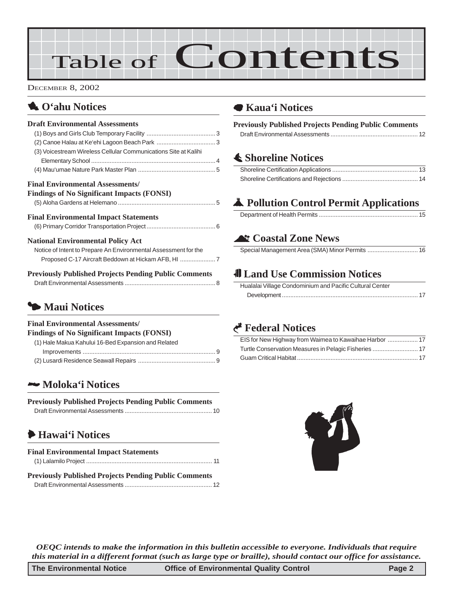# Table of Contents

DECEMBER 8, 2002

## 1 **O'ahu Notices**

## **Draft Environmental Assessments**

| (3) Voicestream Wireless Cellular Communications Site at Kalihi                                             |  |
|-------------------------------------------------------------------------------------------------------------|--|
|                                                                                                             |  |
|                                                                                                             |  |
| <b>Final Environmental Assessments/</b><br><b>Findings of No Significant Impacts (FONSI)</b>                |  |
| <b>Final Environmental Impact Statements</b>                                                                |  |
| <b>National Environmental Policy Act</b><br>Notice of Intent to Prepare An Environmental Assessment for the |  |
| <b>Previously Published Projects Pending Public Comments</b>                                                |  |

## 3 **Maui Notices**

#### **Final Environmental Assessments/ Findings of No Significant Impacts (FONSI)**

Draft Environmental Assessments ..........

| (1) Hale Makua Kahului 16-Bed Expansion and Related |  |
|-----------------------------------------------------|--|
|                                                     |  |
|                                                     |  |
|                                                     |  |

### 2 **[Moloka'i Notices](#page-9-0)**

#### **Previously Published Projects Pending Public Comments** Draft Environmental Assessments [.................................................... 10](#page-9-0)

## 6 **[Hawai'i Notices](#page-10-0)**

| <b>Final Environmental Impact Statements</b>                 |  |
|--------------------------------------------------------------|--|
|                                                              |  |
| <b>Previously Published Projects Pending Public Comments</b> |  |
|                                                              |  |

### 7 **Kaua'i Notices**

| <b>Previously Published Projects Pending Public Comments</b> |  |
|--------------------------------------------------------------|--|
|                                                              |  |

## s **Shoreline Notices**

## V **Pollution Control Permit Applications**

### ^ **Coastal Zone News**

|--|

## 0 **Land Use Commission Notices**

| Hualalai Village Condominium and Pacific Cultural Center |  |
|----------------------------------------------------------|--|
|                                                          |  |

## G **Federal Notices**



*OEQC intends to make the information in this bulletin accessible to everyone. Individuals that require this material in a different format (such as large type or braille), should contact our office for assistance.*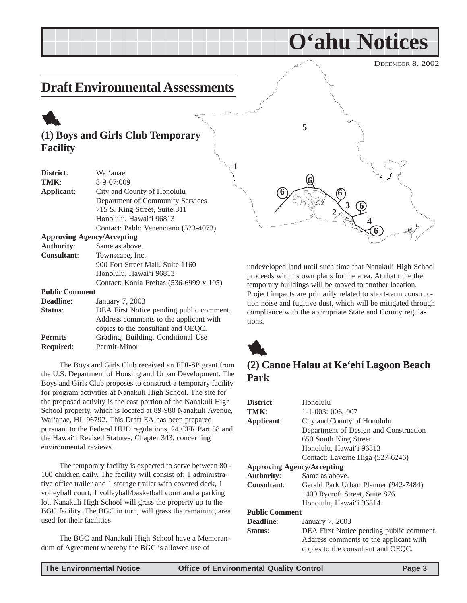<span id="page-2-0"></span>DECEMBER 8, 2002 **O'ahu Notices Draft Environmental Assessments (1) Boys and Girls Club Temporary Facility District**: Wai'anae **TMK**: 8-9-07:009 **Applicant**: City and County of Honolulu Department of Community Services 715 S. King Street, Suite 311 Honolulu, Hawai'i 96813 Contact: Pablo Venenciano (523-4073) **Approving Agency/Accepting Authority**: Same as above. **2 3 4 5 1 6 6 6 6 6**

> undeveloped land until such time that Nanakuli High School proceeds with its own plans for the area. At that time the temporary buildings will be moved to another location. Project impacts are primarily related to short-term construction noise and fugitive dust, which will be mitigated through compliance with the appropriate State and County regulations.



### **(2) Canoe Halau at Ke'ehi Lagoon Beach Park**

| District:                         | Honolulu                                 |  |
|-----------------------------------|------------------------------------------|--|
| TMK:                              | $1-1-003:006,007$                        |  |
| Applicant:                        | City and County of Honolulu              |  |
|                                   | Department of Design and Construction    |  |
|                                   | 650 South King Street                    |  |
|                                   | Honolulu, Hawai'i 96813                  |  |
|                                   | Contact: Laverne Higa (527-6246)         |  |
| <b>Approving Agency/Accepting</b> |                                          |  |
| <b>Authority:</b>                 | Same as above.                           |  |
| <b>Consultant:</b>                | Gerald Park Urban Planner (942-7484)     |  |
|                                   | 1400 Rycroft Street, Suite 876           |  |
|                                   | Honolulu, Hawai'i 96814                  |  |
| <b>Public Comment</b>             |                                          |  |
| Deadline:                         | January 7, 2003                          |  |
| <b>Status:</b>                    | DEA First Notice pending public comment. |  |
|                                   | Address comments to the applicant with   |  |
|                                   | copies to the consultant and OEQC.       |  |
|                                   |                                          |  |

**Consultant**: Townscape, Inc.

**Deadline**: January 7, 2003

**Required**: Permit-Minor

environmental reviews.

used for their facilities.

**Public Comment**

900 Fort Street Mall, Suite 1160 Honolulu, Hawai'i 96813

The Boys and Girls Club received an EDI-SP grant from the U.S. Department of Housing and Urban Development. The Boys and Girls Club proposes to construct a temporary facility for program activities at Nanakuli High School. The site for the proposed activity is the east portion of the Nanakuli High School property, which is located at 89-980 Nanakuli Avenue, Wai'anae, HI 96792. This Draft EA has been prepared pursuant to the Federal HUD regulations, 24 CFR Part 58 and the Hawai'i Revised Statutes, Chapter 343, concerning

The temporary facility is expected to serve between 80 - 100 children daily. The facility will consist of: 1 administrative office trailer and 1 storage trailer with covered deck, 1 volleyball court, 1 volleyball/basketball court and a parking lot. Nanakuli High School will grass the property up to the BGC facility. The BGC in turn, will grass the remaining area

The BGC and Nanakuli High School have a Memoran-

dum of Agreement whereby the BGC is allowed use of

**Status:** DEA First Notice pending public comment.

**Permits** Grading, Building, Conditional Use

Contact: Konia Freitas (536-6999 x 105)

Address comments to the applicant with copies to the consultant and OEQC.

1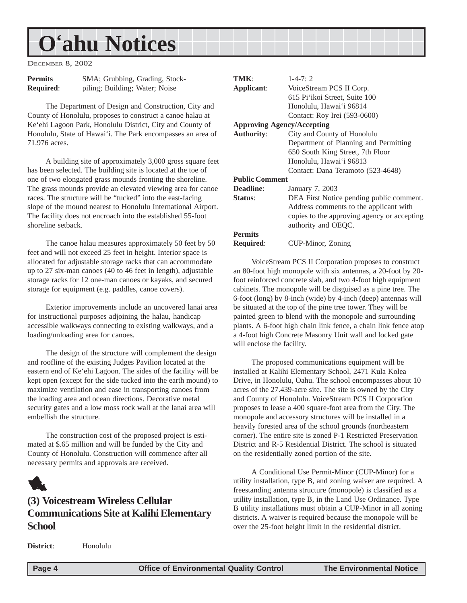<span id="page-3-0"></span>DECEMBER 8, 2002

| <b>Permits</b>   | SMA; Grubbing, Grading, Stock- |
|------------------|--------------------------------|
| <b>Required:</b> | piling; Building; Water; Noise |

The Department of Design and Construction, City and County of Honolulu, proposes to construct a canoe halau at Ke'ehi Lagoon Park, Honolulu District, City and County of Honolulu, State of Hawai'i. The Park encompasses an area of 71.976 acres.

A building site of approximately 3,000 gross square feet has been selected. The building site is located at the toe of one of two elongated grass mounds fronting the shoreline. The grass mounds provide an elevated viewing area for canoe races. The structure will be "tucked" into the east-facing slope of the mound nearest to Honolulu International Airport. The facility does not encroach into the established 55-foot shoreline setback.

The canoe halau measures approximately 50 feet by 50 feet and will not exceed 25 feet in height. Interior space is allocated for adjustable storage racks that can accommodate up to 27 six-man canoes (40 to 46 feet in length), adjustable storage racks for 12 one-man canoes or kayaks, and secured storage for equipment (e.g. paddles, canoe covers).

Exterior improvements include an uncovered lanai area for instructional purposes adjoining the halau, handicap accessible walkways connecting to existing walkways, and a loading/unloading area for canoes.

The design of the structure will complement the design and roofline of the existing Judges Pavilion located at the eastern end of Ke'ehi Lagoon. The sides of the facility will be kept open (except for the side tucked into the earth mound) to maximize ventilation and ease in transporting canoes from the loading area and ocean directions. Decorative metal security gates and a low moss rock wall at the lanai area will embellish the structure.

The construction cost of the proposed project is estimated at \$.65 million and will be funded by the City and County of Honolulu. Construction will commence after all necessary permits and approvals are received.

## 1

### **(3) Voicestream Wireless Cellular Communications Site at Kalihi Elementary School**

**TMK**: 1-4-7: 2 **Applicant**: VoiceStream PCS II Corp. 615 Pi'ikoi Street, Suite 100 Honolulu, Hawai'i 96814 Contact: Roy Irei (593-0600) **Approving Agency/Accepting Authority**: City and County of Honolulu Department of Planning and Permitting 650 South King Street, 7th Floor Honolulu, Hawai'i 96813 Contact: Dana Teramoto (523-4648) **Public Comment Deadline**: January 7, 2003 **Status:** DEA First Notice pending public comment. Address comments to the applicant with copies to the approving agency or accepting authority and OEQC. **Permits Required**: CUP-Minor, Zoning

VoiceStream PCS II Corporation proposes to construct an 80-foot high monopole with six antennas, a 20-foot by 20 foot reinforced concrete slab, and two 4-foot high equipment cabinets. The monopole will be disguised as a pine tree. The 6-foot (long) by 8-inch (wide) by 4-inch (deep) antennas will be situated at the top of the pine tree tower. They will be painted green to blend with the monopole and surrounding plants. A 6-foot high chain link fence, a chain link fence atop a 4-foot high Concrete Masonry Unit wall and locked gate will enclose the facility.

The proposed communications equipment will be installed at Kalihi Elementary School, 2471 Kula Kolea Drive, in Honolulu, Oahu. The school encompasses about 10 acres of the 27.439-acre site. The site is owned by the City and County of Honolulu. VoiceStream PCS II Corporation proposes to lease a 400 square-foot area from the City. The monopole and accessory structures will be installed in a heavily forested area of the school grounds (northeastern corner). The entire site is zoned P-1 Restricted Preservation District and R-5 Residential District. The school is situated on the residentially zoned portion of the site.

A Conditional Use Permit-Minor (CUP-Minor) for a utility installation, type B, and zoning waiver are required. A freestanding antenna structure (monopole) is classified as a utility installation, type B, in the Land Use Ordinance. Type B utility installations must obtain a CUP-Minor in all zoning districts. A waiver is required because the monopole will be over the 25-foot height limit in the residential district.

**District**: Honolulu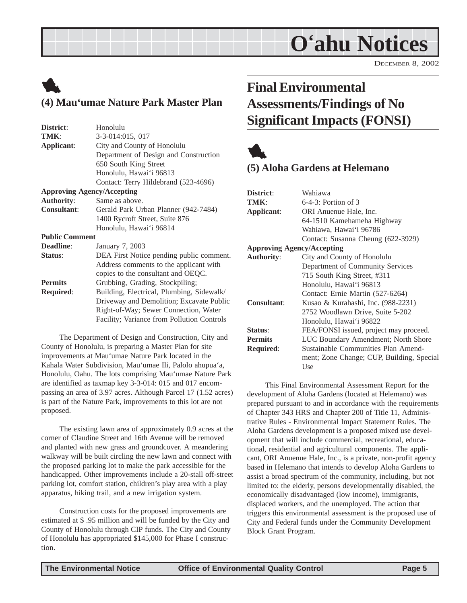DECEMBER 8, 2002

## <span id="page-4-0"></span>1 **(4) Mau'umae Nature Park Master Plan**

| District:                         | Honolulu                                   |  |
|-----------------------------------|--------------------------------------------|--|
| TMK:                              | 3-3-014:015, 017                           |  |
| Applicant:                        | City and County of Honolulu                |  |
|                                   | Department of Design and Construction      |  |
|                                   | 650 South King Street                      |  |
|                                   | Honolulu, Hawai'i 96813                    |  |
|                                   | Contact: Terry Hildebrand (523-4696)       |  |
| <b>Approving Agency/Accepting</b> |                                            |  |
| <b>Authority:</b>                 | Same as above.                             |  |
| <b>Consultant:</b>                | Gerald Park Urban Planner (942-7484)       |  |
|                                   | 1400 Rycroft Street, Suite 876             |  |
|                                   | Honolulu, Hawai'i 96814                    |  |
| <b>Public Comment</b>             |                                            |  |
| <b>Deadline:</b>                  | January 7, 2003                            |  |
| Status:                           | DEA First Notice pending public comment.   |  |
|                                   | Address comments to the applicant with     |  |
|                                   | copies to the consultant and OEQC.         |  |
| <b>Permits</b>                    | Grubbing, Grading, Stockpiling;            |  |
| <b>Required:</b>                  | Building, Electrical, Plumbing, Sidewalk/  |  |
|                                   | Driveway and Demolition; Excavate Public   |  |
|                                   | Right-of-Way; Sewer Connection, Water      |  |
|                                   | Facility; Variance from Pollution Controls |  |
|                                   |                                            |  |

The Department of Design and Construction, City and County of Honolulu, is preparing a Master Plan for site improvements at Mau'umae Nature Park located in the Kahala Water Subdivision, Mau'umae Ili, Palolo ahupua'a, Honolulu, Oahu. The lots comprising Mau'umae Nature Park are identified as taxmap key 3-3-014: 015 and 017 encompassing an area of 3.97 acres. Although Parcel 17 (1.52 acres) is part of the Nature Park, improvements to this lot are not proposed.

The existing lawn area of approximately 0.9 acres at the corner of Claudine Street and 16th Avenue will be removed and planted with new grass and groundcover. A meandering walkway will be built circling the new lawn and connect with the proposed parking lot to make the park accessible for the handicapped. Other improvements include a 20-stall off-street parking lot, comfort station, children's play area with a play apparatus, hiking trail, and a new irrigation system.

Construction costs for the proposed improvements are estimated at \$ .95 million and will be funded by the City and County of Honolulu through CIP funds. The City and County of Honolulu has appropriated \$145,000 for Phase I construction.

## **Final Environmental Assessments/Findings of No Significant Impacts (FONSI)**



### **(5) Aloha Gardens at Helemano**

| Wahiawa                                   |  |  |  |
|-------------------------------------------|--|--|--|
| $6-4-3$ : Portion of 3                    |  |  |  |
| ORI Anuenue Hale, Inc.                    |  |  |  |
| 64-1510 Kamehameha Highway                |  |  |  |
| Wahiawa, Hawai'i 96786                    |  |  |  |
| Contact: Susanna Cheung (622-3929)        |  |  |  |
| <b>Approving Agency/Accepting</b>         |  |  |  |
| City and County of Honolulu               |  |  |  |
| Department of Community Services          |  |  |  |
| 715 South King Street, #311               |  |  |  |
| Honolulu, Hawai'i 96813                   |  |  |  |
| Contact: Ernie Martin (527-6264)          |  |  |  |
| Kusao & Kurahashi, Inc. (988-2231)        |  |  |  |
| 2752 Woodlawn Drive, Suite 5-202          |  |  |  |
| Honolulu, Hawai'i 96822                   |  |  |  |
| FEA/FONSI issued, project may proceed.    |  |  |  |
| LUC Boundary Amendment; North Shore       |  |  |  |
| Sustainable Communities Plan Amend-       |  |  |  |
| ment; Zone Change; CUP, Building, Special |  |  |  |
| Use                                       |  |  |  |
|                                           |  |  |  |

This Final Environmental Assessment Report for the development of Aloha Gardens (located at Helemano) was prepared pursuant to and in accordance with the requirements of Chapter 343 HRS and Chapter 200 of Title 11, Administrative Rules - Environmental Impact Statement Rules. The Aloha Gardens development is a proposed mixed use development that will include commercial, recreational, educational, residential and agricultural components. The applicant, ORI Anuenue Hale, Inc., is a private, non-profit agency based in Helemano that intends to develop Aloha Gardens to assist a broad spectrum of the community, including, but not limited to: the elderly, persons developmentally disabled, the economically disadvantaged (low income), immigrants, displaced workers, and the unemployed. The action that triggers this environmental assessment is the proposed use of City and Federal funds under the Community Development Block Grant Program.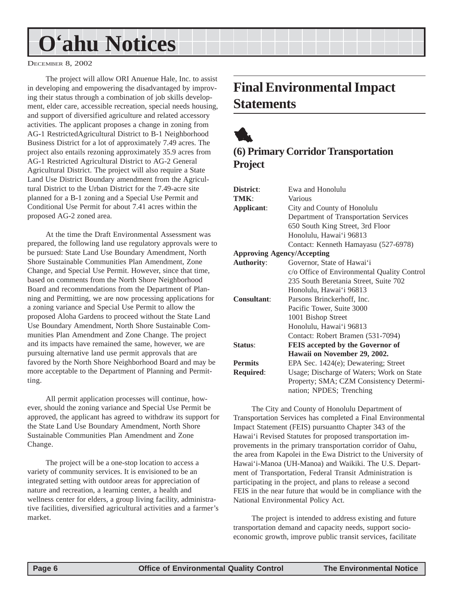<span id="page-5-0"></span>DECEMBER 8, 2002

The project will allow ORI Anuenue Hale, Inc. to assist in developing and empowering the disadvantaged by improving their status through a combination of job skills development, elder care, accessible recreation, special needs housing, and support of diversified agriculture and related accessory activities. The applicant proposes a change in zoning from AG-1 RestrictedAgricultural District to B-1 Neighborhood Business District for a lot of approximately 7.49 acres. The project also entails rezoning approximately 35.9 acres from AG-1 Restricted Agricultural District to AG-2 General Agricultural District. The project will also require a State Land Use District Boundary amendment from the Agricultural District to the Urban District for the 7.49-acre site planned for a B-1 zoning and a Special Use Permit and Conditional Use Permit for about 7.41 acres within the proposed AG-2 zoned area.

At the time the Draft Environmental Assessment was prepared, the following land use regulatory approvals were to be pursued: State Land Use Boundary Amendment, North Shore Sustainable Communities Plan Amendment, Zone Change, and Special Use Permit. However, since that time, based on comments from the North Shore Neighborhood Board and recommendations from the Department of Planning and Permitting, we are now processing applications for a zoning variance and Special Use Permit to allow the proposed Aloha Gardens to proceed without the State Land Use Boundary Amendment, North Shore Sustainable Communities Plan Amendment and Zone Change. The project and its impacts have remained the same, however, we are pursuing alternative land use permit approvals that are favored by the North Shore Neighborhood Board and may be more acceptable to the Department of Planning and Permitting.

All permit application processes will continue, however, should the zoning variance and Special Use Permit be approved, the applicant has agreed to withdraw its support for the State Land Use Boundary Amendment, North Shore Sustainable Communities Plan Amendment and Zone Change.

The project will be a one-stop location to access a variety of community services. It is envisioned to be an integrated setting with outdoor areas for appreciation of nature and recreation, a learning center, a health and wellness center for elders, a group living facility, administrative facilities, diversified agricultural activities and a farmer's market.

## **Final Environmental Impact Statements**

## 1 **(6) Primary Corridor Transportation Project**

| District:                         | Ewa and Honolulu                            |  |  |  |
|-----------------------------------|---------------------------------------------|--|--|--|
|                                   |                                             |  |  |  |
| TMK:                              | Various                                     |  |  |  |
| Applicant:                        | City and County of Honolulu                 |  |  |  |
|                                   | Department of Transportation Services       |  |  |  |
|                                   | 650 South King Street, 3rd Floor            |  |  |  |
|                                   | Honolulu, Hawai'i 96813                     |  |  |  |
|                                   | Contact: Kenneth Hamayasu (527-6978)        |  |  |  |
| <b>Approving Agency/Accepting</b> |                                             |  |  |  |
| <b>Authority:</b>                 | Governor, State of Hawai'i                  |  |  |  |
|                                   | c/o Office of Environmental Quality Control |  |  |  |
|                                   | 235 South Beretania Street, Suite 702       |  |  |  |
|                                   | Honolulu, Hawai'i 96813                     |  |  |  |
| <b>Consultant:</b>                | Parsons Brinckerhoff, Inc.                  |  |  |  |
|                                   | Pacific Tower, Suite 3000                   |  |  |  |
|                                   | 1001 Bishop Street                          |  |  |  |
|                                   | Honolulu, Hawai'i 96813                     |  |  |  |
|                                   | Contact: Robert Bramen (531-7094)           |  |  |  |
| Status:                           | FEIS accepted by the Governor of            |  |  |  |
|                                   | Hawaii on November 29, 2002.                |  |  |  |
| <b>Permits</b>                    | EPA Sec. 1424(e); Dewatering; Street        |  |  |  |
| <b>Required:</b>                  | Usage; Discharge of Waters; Work on State   |  |  |  |
|                                   | Property; SMA; CZM Consistency Determi-     |  |  |  |
|                                   | nation; NPDES; Trenching                    |  |  |  |

The City and County of Honolulu Department of Transportation Services has completed a Final Environmental Impact Statement (FEIS) pursuantto Chapter 343 of the Hawai'i Revised Statutes for proposed transportation improvements in the primary transportation corridor of Oahu, the area from Kapolei in the Ewa District to the University of Hawai'i-Manoa (UH-Manoa) and Waikiki. The U.S. Department of Transportation, Federal Transit Administration is participating in the project, and plans to release a second FEIS in the near future that would be in compliance with the National Environmental Policy Act.

The project is intended to address existing and future transportation demand and capacity needs, support socioeconomic growth, improve public transit services, facilitate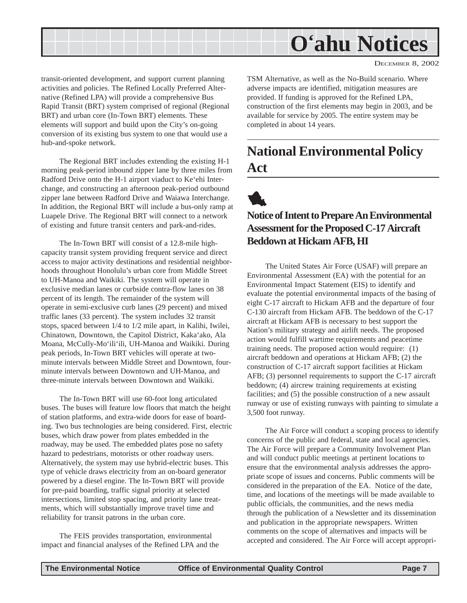<span id="page-6-0"></span>

DECEMBER 8, 2002

transit-oriented development, and support current planning activities and policies. The Refined Locally Preferred Alternative (Refined LPA) will provide a comprehensive Bus Rapid Transit (BRT) system comprised of regional (Regional BRT) and urban core (In-Town BRT) elements. These elements will support and build upon the City's on-going conversion of its existing bus system to one that would use a hub-and-spoke network.

The Regional BRT includes extending the existing H-1 morning peak-period inbound zipper lane by three miles from Radford Drive onto the H-1 airport viaduct to Ke'ehi Interchange, and constructing an afternoon peak-period outbound zipper lane between Radford Drive and Waiawa Interchange. In addition, the Regional BRT will include a bus-only ramp at Luapele Drive. The Regional BRT will connect to a network of existing and future transit centers and park-and-rides.

The In-Town BRT will consist of a 12.8-mile highcapacity transit system providing frequent service and direct access to major activity destinations and residential neighborhoods throughout Honolulu's urban core from Middle Street to UH-Manoa and Waikiki. The system will operate in exclusive median lanes or curbside contra-flow lanes on 38 percent of its length. The remainder of the system will operate in semi-exclusive curb lanes (29 percent) and mixed traffic lanes (33 percent). The system includes 32 transit stops, spaced between 1/4 to 1/2 mile apart, in Kalihi, Iwilei, Chinatown, Downtown, the Capitol District, Kaka'ako, Ala Moana, McCully-Mo'ili'ili, UH-Manoa and Waikiki. During peak periods, In-Town BRT vehicles will operate at twominute intervals between Middle Street and Downtown, fourminute intervals between Downtown and UH-Manoa, and three-minute intervals between Downtown and Waikiki.

The In-Town BRT will use 60-foot long articulated buses. The buses will feature low floors that match the height of station platforms, and extra-wide doors for ease of boarding. Two bus technologies are being considered. First, electric buses, which draw power from plates embedded in the roadway, may be used. The embedded plates pose no safety hazard to pedestrians, motorists or other roadway users. Alternatively, the system may use hybrid-electric buses. This type of vehicle draws electricity from an on-board generator powered by a diesel engine. The In-Town BRT will provide for pre-paid boarding, traffic signal priority at selected intersections, limited stop spacing, and priority lane treatments, which will substantially improve travel time and reliability for transit patrons in the urban core.

The FEIS provides transportation, environmental impact and financial analyses of the Refined LPA and the TSM Alternative, as well as the No-Build scenario. Where adverse impacts are identified, mitigation measures are provided. If funding is approved for the Refined LPA, construction of the first elements may begin in 2003, and be available for service by 2005. The entire system may be completed in about 14 years.

## **National Environmental Policy Act**



### **Notice of Intent to Prepare An Environmental Assessment for the Proposed C-17 Aircraft Beddown at Hickam AFB, HI**

The United States Air Force (USAF) will prepare an Environmental Assessment (EA) with the potential for an Environmental Impact Statement (EIS) to identify and evaluate the potential environmental impacts of the basing of eight C-17 aircraft to Hickam AFB and the departure of four C-130 aircraft from Hickam AFB. The beddown of the C-17 aircraft at Hickam AFB is necessary to best support the Nation's military strategy and airlift needs. The proposed action would fulfill wartime requirements and peacetime training needs. The proposed action would require: (1) aircraft beddown and operations at Hickam AFB; (2) the construction of C-17 aircraft support facilities at Hickam AFB; (3) personnel requirements to support the C-17 aircraft beddown; (4) aircrew training requirements at existing facilities; and (5) the possible construction of a new assault runway or use of existing runways with painting to simulate a 3,500 foot runway.

The Air Force will conduct a scoping process to identify concerns of the public and federal, state and local agencies. The Air Force will prepare a Community Involvement Plan and will conduct public meetings at pertinent locations to ensure that the environmental analysis addresses the appropriate scope of issues and concerns. Public comments will be considered in the preparation of the EA. Notice of the date, time, and locations of the meetings will be made available to public officials, the communities, and the news media through the publication of a Newsletter and its dissemination and publication in the appropriate newspapers. Written comments on the scope of alternatives and impacts will be accepted and considered. The Air Force will accept appropri-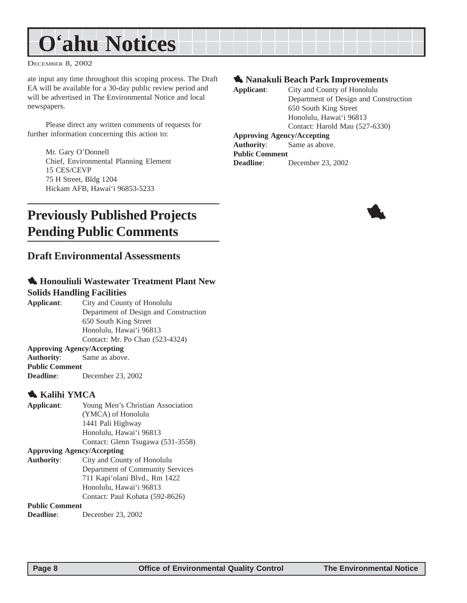<span id="page-7-0"></span>DECEMBER 8, 2002

ate input any time throughout this scoping process. The Draft EA will be available for a 30-day public review period and will be advertised in The Environmental Notice and local newspapers.

Please direct any written comments of requests for further information concerning this action to:

> Mr. Gary O'Donnell Chief, Environmental Planning Element 15 CES/CEVP 75 H Street, Bldg 1204 Hickam AFB, Hawai'i 96853-5233

#### **1. Nanakuli Beach Park Improvements**

**Applicant**: City and County of Honolulu Department of Design and Construction 650 South King Street Honolulu, Hawai'i 96813 Contact: Harold Mau (527-6330) **Approving Agency/Accepting Authority**: Same as above. **Public Comment Deadline**: December 23, 2002

## **Previously Published Projects Pending Public Comments**

#### **Draft Environmental Assessments**

#### 1 **Honouliuli Wastewater Treatment Plant New Solids Handling Facilities**

**Applicant**: City and County of Honolulu Department of Design and Construction 650 South King Street Honolulu, Hawai'i 96813 Contact: Mr. Po Chan (523-4324)

#### **Approving Agency/Accepting**

**Authority**: Same as above. **Public Comment**

**Deadline**: December 23, 2002

#### 1 **Kalihi YMCA**

| Applicant:                        | Young Men's Christian Association |  |  |  |
|-----------------------------------|-----------------------------------|--|--|--|
|                                   | (YMCA) of Honolulu                |  |  |  |
|                                   | 1441 Pali Highway                 |  |  |  |
|                                   | Honolulu, Hawai'i 96813           |  |  |  |
|                                   | Contact: Glenn Tsugawa (531-3558) |  |  |  |
| <b>Approving Agency/Accepting</b> |                                   |  |  |  |
| <b>Authority:</b>                 | City and County of Honolulu       |  |  |  |
|                                   | Department of Community Services  |  |  |  |
|                                   | 711 Kapi'olani Blvd., Rm 1422     |  |  |  |
|                                   | Honolulu, Hawai'i 96813           |  |  |  |
|                                   | Contact: Paul Kobata (592-8626)   |  |  |  |
| <b>Public Comment</b>             |                                   |  |  |  |

**Deadline**: December 23, 2002

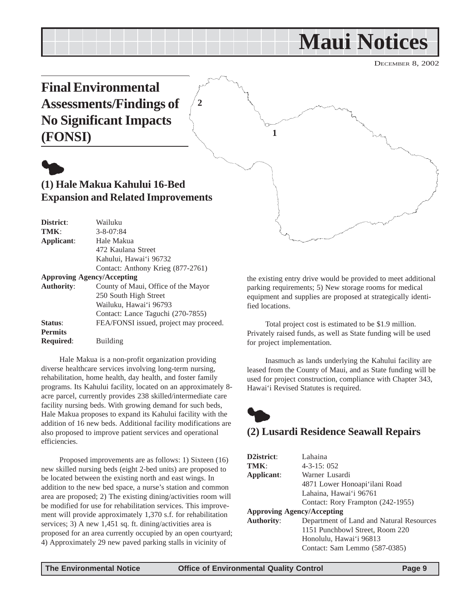## **Maui Notices**

DECEMBER 8, 2002

<span id="page-8-0"></span>

Contact: Anthony Krieg (877-2761) **Approving Agency/Accepting**

| <b>Authority:</b> | County of Maui, Office of the Mayor    |
|-------------------|----------------------------------------|
|                   | 250 South High Street                  |
|                   | Wailuku, Hawai'i 96793                 |
|                   | Contact: Lance Taguchi (270-7855)      |
| Status:           | FEA/FONSI issued, project may proceed. |
| <b>Permits</b>    |                                        |
| <b>Required:</b>  | <b>Building</b>                        |
|                   |                                        |

Kahului, Hawai'i 96732

Hale Makua is a non-profit organization providing diverse healthcare services involving long-term nursing, rehabilitation, home health, day health, and foster family programs. Its Kahului facility, located on an approximately 8 acre parcel, currently provides 238 skilled/intermediate care facility nursing beds. With growing demand for such beds, Hale Makua proposes to expand its Kahului facility with the addition of 16 new beds. Additional facility modifications are also proposed to improve patient services and operational efficiencies.

Proposed improvements are as follows: 1) Sixteen (16) new skilled nursing beds (eight 2-bed units) are proposed to be located between the existing north and east wings. In addition to the new bed space, a nurse's station and common area are proposed; 2) The existing dining/activities room will be modified for use for rehabilitation services. This improvement will provide approximately 1,370 s.f. for rehabilitation services; 3) A new 1,451 sq. ft. dining/activities area is proposed for an area currently occupied by an open courtyard; 4) Approximately 29 new paved parking stalls in vicinity of

the existing entry drive would be provided to meet additional parking requirements; 5) New storage rooms for medical equipment and supplies are proposed at strategically identified locations.

Total project cost is estimated to be \$1.9 million. Privately raised funds, as well as State funding will be used for project implementation.

Inasmuch as lands underlying the Kahului facility are leased from the County of Maui, and as State funding will be used for project construction, compliance with Chapter 343, Hawai'i Revised Statutes is required.



### **(2) Lusardi Residence Seawall Repairs**

| D2istrict:                        | Lahaina                                  |  |  |  |
|-----------------------------------|------------------------------------------|--|--|--|
| TMK:                              | $4 - 3 - 15$ ; 052                       |  |  |  |
| Applicant:                        | Warner Lusardi                           |  |  |  |
|                                   | 4871 Lower Honoapi'ilani Road            |  |  |  |
|                                   | Lahaina, Hawai'i 96761                   |  |  |  |
|                                   | Contact: Rory Frampton (242-1955)        |  |  |  |
| <b>Approving Agency/Accepting</b> |                                          |  |  |  |
| <b>Authority:</b>                 | Department of Land and Natural Resources |  |  |  |
|                                   | 1151 Punchbowl Street, Room 220          |  |  |  |
|                                   | Honolulu, Hawai'i 96813                  |  |  |  |
|                                   | Contact: Sam Lemmo (587-0385)            |  |  |  |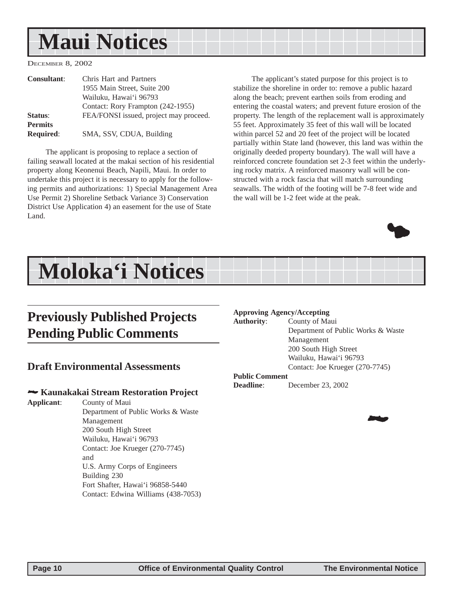## <span id="page-9-0"></span>**Maui Notices**

DECEMBER 8, 2002

| <b>Consultant:</b> | Chris Hart and Partners                |  |
|--------------------|----------------------------------------|--|
|                    | 1955 Main Street, Suite 200            |  |
|                    | Wailuku, Hawaiʻi 96793                 |  |
|                    | Contact: Rory Frampton (242-1955)      |  |
| Status:            | FEA/FONSI issued, project may proceed. |  |
| <b>Permits</b>     |                                        |  |
| <b>Required:</b>   | SMA, SSV, CDUA, Building               |  |

The applicant is proposing to replace a section of failing seawall located at the makai section of his residential property along Keonenui Beach, Napili, Maui. In order to undertake this project it is necessary to apply for the following permits and authorizations: 1) Special Management Area Use Permit 2) Shoreline Setback Variance 3) Conservation District Use Application 4) an easement for the use of State Land.

The applicant's stated purpose for this project is to stabilize the shoreline in order to: remove a public hazard along the beach; prevent earthen soils from eroding and entering the coastal waters; and prevent future erosion of the property. The length of the replacement wall is approximately 55 feet. Approximately 35 feet of this wall will be located within parcel 52 and 20 feet of the project will be located partially within State land (however, this land was within the originally deeded property boundary). The wall will have a reinforced concrete foundation set 2-3 feet within the underlying rocky matrix. A reinforced masonry wall will be constructed with a rock fascia that will match surrounding seawalls. The width of the footing will be 7-8 feet wide and the wall will be 1-2 feet wide at the peak.



## **Moloka'i Notices**

## **Previously Published Projects Pending Public Comments**

#### **Draft Environmental Assessments**

#### 2 **Kaunakakai Stream Restoration Project**

**Applicant**: County of Maui Department of Public Works & Waste Management 200 South High Street Wailuku, Hawai'i 96793 Contact: Joe Krueger (270-7745) and U.S. Army Corps of Engineers Building 230 Fort Shafter, Hawai'i 96858-5440 Contact: Edwina Williams (438-7053)

#### **Approving Agency/Accepting**

**Authority**: County of Maui Department of Public Works & Waste Management 200 South High Street Wailuku, Hawai'i 96793 Contact: Joe Krueger (270-7745)

#### **Public Comment**

**Deadline**: December 23, 2002

20**2**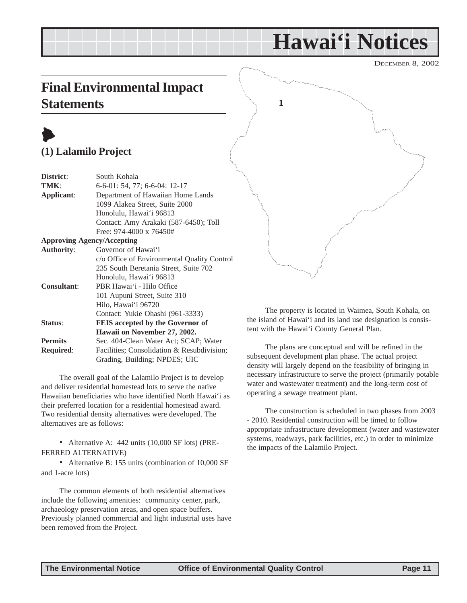## **Hawai'i Notices**

DECEMBER 8, 2002

## <span id="page-10-0"></span>**Final Environmental Impact Statements**

## $\blacktriangleright$ **(1) Lalamilo Project**

| District:          | South Kohala                                |  |  |  |  |
|--------------------|---------------------------------------------|--|--|--|--|
| TMK:               | $6-6-01: 54, 77: 6-6-04: 12-17$             |  |  |  |  |
| Applicant:         | Department of Hawaiian Home Lands           |  |  |  |  |
|                    | 1099 Alakea Street, Suite 2000              |  |  |  |  |
|                    | Honolulu, Hawai'i 96813                     |  |  |  |  |
|                    | Contact: Amy Arakaki (587-6450); Toll       |  |  |  |  |
|                    | Free: $974-4000 \times 76450#$              |  |  |  |  |
|                    | <b>Approving Agency/Accepting</b>           |  |  |  |  |
| <b>Authority:</b>  | Governor of Hawai'i                         |  |  |  |  |
|                    | c/o Office of Environmental Quality Control |  |  |  |  |
|                    | 235 South Beretania Street, Suite 702       |  |  |  |  |
|                    | Honolulu, Hawai'i 96813                     |  |  |  |  |
| <b>Consultant:</b> | PBR Hawai'i - Hilo Office                   |  |  |  |  |
|                    | 101 Aupuni Street, Suite 310                |  |  |  |  |
|                    | Hilo, Hawai'i 96720                         |  |  |  |  |
|                    | Contact: Yukie Ohashi (961-3333)            |  |  |  |  |

**Status**: **FEIS accepted by the Governor of**

**Hawaii on November 27, 2002. Permits** Sec. 404-Clean Water Act; SCAP; Water **Required**: Facilities; Consolidation & Resubdivision; Grading, Building; NPDES; UIC

The overall goal of the Lalamilo Project is to develop and deliver residential homestead lots to serve the native Hawaiian beneficiaries who have identified North Hawai'i as their preferred location for a residential homestead award. Two residential density alternatives were developed. The alternatives are as follows:

• Alternative A: 442 units (10,000 SF lots) (PRE-FERRED ALTERNATIVE)

• Alternative B: 155 units (combination of 10,000 SF and 1-acre lots)

The common elements of both residential alternatives include the following amenities: community center, park, archaeology preservation areas, and open space buffers. Previously planned commercial and light industrial uses have been removed from the Project.



The property is located in Waimea, South Kohala, on the island of Hawai'i and its land use designation is consistent with the Hawai'i County General Plan.

The plans are conceptual and will be refined in the subsequent development plan phase. The actual project density will largely depend on the feasibility of bringing in necessary infrastructure to serve the project (primarily potable water and wastewater treatment) and the long-term cost of operating a sewage treatment plant.

The construction is scheduled in two phases from 2003 - 2010. Residential construction will be timed to follow appropriate infrastructure development (water and wastewater systems, roadways, park facilities, etc.) in order to minimize the impacts of the Lalamilo Project.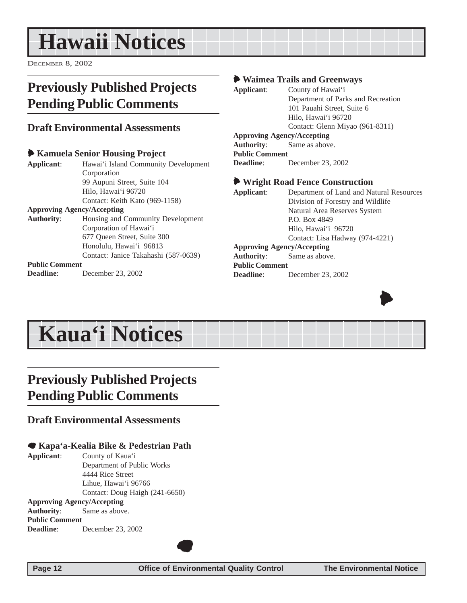## <span id="page-11-0"></span>**Hawaii Notices**

DECEMBER 8, 2002

## **Previously Published Projects Pending Public Comments**

### **Draft Environmental Assessments**

|                                   | Kamuela Senior Housing Project       |
|-----------------------------------|--------------------------------------|
| Applicant:                        | Hawai'i Island Community Development |
|                                   | Corporation                          |
|                                   | 99 Aupuni Street, Suite 104          |
|                                   | Hilo, Hawai'i 96720                  |
|                                   | Contact: Keith Kato (969-1158)       |
| <b>Approving Agency/Accepting</b> |                                      |
| <b>Authority:</b>                 | Housing and Community Development    |
|                                   | Corporation of Hawai'i               |
|                                   | 677 Oueen Street, Suite 300          |
|                                   | Honolulu, Hawai'i 96813              |
|                                   | Contact: Janice Takahashi (587-0639) |
| <b>Public Comment</b>             |                                      |
| Deadline:                         | December 23, 2002                    |

#### 6 **Waimea Trails and Greenways**

| Applicant:                        | County of Hawai'i                  |  |  |  |
|-----------------------------------|------------------------------------|--|--|--|
|                                   | Department of Parks and Recreation |  |  |  |
|                                   | 101 Pauahi Street, Suite 6         |  |  |  |
|                                   | Hilo, Hawai'i 96720                |  |  |  |
|                                   | Contact: Glenn Miyao (961-8311)    |  |  |  |
| <b>Approving Agency/Accepting</b> |                                    |  |  |  |
| <b>Authority:</b>                 | Same as above.                     |  |  |  |
| <b>Public Comment</b>             |                                    |  |  |  |
| Deadline:                         | December 23, 2002                  |  |  |  |
|                                   |                                    |  |  |  |

#### 6 **Wright Road Fence Construction**

**Applicant**: Department of Land and Natural Resources Division of Forestry and Wildlife Natural Area Reserves System P.O. Box 4849 Hilo, Hawai'i 96720

#### Contact: Lisa Hadway (974-4221)

#### **Approving Agency/Accepting**

**Authority**: Same as above. **Public Comment Deadline**: December 23, 2002



## **Kaua'i Notices**

## **Previously Published Projects Pending Public Comments**

### **Draft Environmental Assessments**

#### 7 **Kapa'a-Kealia Bike & Pedestrian Path**

**Applicant**: County of Kaua'i Department of Public Works 4444 Rice Street Lihue, Hawai'i 96766 Contact: Doug Haigh (241-6650)

**Approving Agency/Accepting Authority**: Same as above. **Public Comment Deadline**: December 23, 2002

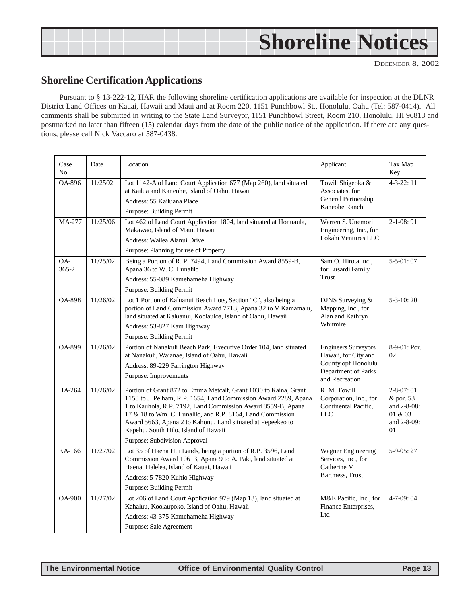<span id="page-12-0"></span>

| <b>Shoreline Notices</b> |
|--------------------------|
|                          |

DECEMBER 8, 2002

### **Shoreline Certification Applications**

Pursuant to § 13-222-12, HAR the following shoreline certification applications are available for inspection at the DLNR District Land Offices on Kauai, Hawaii and Maui and at Room 220, 1151 Punchbowl St., Honolulu, Oahu (Tel: 587-0414). All comments shall be submitted in writing to the State Land Surveyor, 1151 Punchbowl Street, Room 210, Honolulu, HI 96813 and postmarked no later than fifteen (15) calendar days from the date of the public notice of the application. If there are any questions, please call Nick Vaccaro at 587-0438.

| Case<br>No.      | Date     | Location                                                                                                                                                                                                                                                                                                                                                                                                  | Applicant                                                                                                          | Tax Map<br>Key                                                              |
|------------------|----------|-----------------------------------------------------------------------------------------------------------------------------------------------------------------------------------------------------------------------------------------------------------------------------------------------------------------------------------------------------------------------------------------------------------|--------------------------------------------------------------------------------------------------------------------|-----------------------------------------------------------------------------|
| OA-896           | 11/2502  | Lot 1142-A of Land Court Application 677 (Map 260), land situated<br>at Kailua and Kaneohe, Island of Oahu, Hawaii<br>Address: 55 Kailuana Place<br>Purpose: Building Permit                                                                                                                                                                                                                              | Towill Shigeoka &<br>Associates, for<br>General Partnership<br>Kaneohe Ranch                                       | $4 - 3 - 22$ : 11                                                           |
| MA-277           | 11/25/06 | Lot 462 of Land Court Application 1804, land situated at Honuaula,<br>Makawao, Island of Maui, Hawaii<br>Address: Wailea Alanui Drive<br>Purpose: Planning for use of Property                                                                                                                                                                                                                            | Warren S. Unemori<br>Engineering, Inc., for<br>Lokahi Ventures LLC                                                 | $2-1-08:91$                                                                 |
| OA-<br>$365 - 2$ | 11/25/02 | Being a Portion of R. P. 7494, Land Commission Award 8559-B,<br>Apana 36 to W. C. Lunalilo<br>Address: 55-089 Kamehameha Highway<br>Purpose: Building Permit                                                                                                                                                                                                                                              | Sam O. Hirota Inc.,<br>for Lusardi Family<br>Trust                                                                 | $5 - 5 - 01:07$                                                             |
| <b>OA-898</b>    | 11/26/02 | Lot 1 Portion of Kaluanui Beach Lots, Section "C", also being a<br>portion of Land Commission Award 7713, Apana 32 to V Kamamalu,<br>land situated at Kaluanui, Koolauloa, Island of Oahu, Hawaii<br>Address: 53-827 Kam Highway<br>Purpose: Building Permit                                                                                                                                              | DJNS Surveying &<br>Mapping, Inc., for<br>Alan and Kathryn<br>Whitmire                                             | $5-3-10:20$                                                                 |
| <b>OA-899</b>    | 11/26/02 | Portion of Nanakuli Beach Park, Executive Order 104, land situated<br>at Nanakuli, Waianae, Island of Oahu, Hawaii<br>Address: 89-229 Farrington Highway<br>Purpose: Improvements                                                                                                                                                                                                                         | <b>Engineers Surveyors</b><br>Hawaii, for City and<br>County opf Honolulu<br>Department of Parks<br>and Recreation | 8-9-01: Por.<br>02                                                          |
| HA-264           | 11/26/02 | Portion of Grant 872 to Emma Metcalf, Grant 1030 to Kaina, Grant<br>1158 to J. Pelham, R.P. 1654, Land Commission Award 2289, Apana<br>1 to Kauhola, R.P. 7192, Land Commission Award 8559-B, Apana<br>17 & 18 to Wm. C. Lunalilo, and R.P. 8164, Land Commission<br>Award 5663, Apana 2 to Kahonu, Land situated at Pepeekeo to<br>Kapehu, South Hilo, Island of Hawaii<br>Purpose: Subdivision Approval | R. M. Towill<br>Corporation, Inc., for<br>Continental Pacific,<br><b>LLC</b>                                       | $2 - 8 - 07:01$<br>& por. 53<br>and 2-8-08:<br>01 & 03<br>and 2-8-09:<br>01 |
| KA-166           | 11/27/02 | Lot 35 of Haena Hui Lands, being a portion of R.P. 3596, Land<br>Commission Award 10613, Apana 9 to A. Paki, land situated at<br>Haena, Halelea, Island of Kauai, Hawaii<br>Address: 5-7820 Kuhio Highway<br><b>Purpose: Building Permit</b>                                                                                                                                                              | Wagner Engineering<br>Services, Inc., for<br>Catherine M.<br>Bartmess, Trust                                       | $5-9-05:27$                                                                 |
| <b>OA-900</b>    | 11/27/02 | Lot 206 of Land Court Application 979 (Map 13), land situated at<br>Kahaluu, Koolaupoko, Island of Oahu, Hawaii<br>Address: 43-375 Kamehameha Highway<br>Purpose: Sale Agreement                                                                                                                                                                                                                          | M&E Pacific, Inc., for<br>Finance Enterprises,<br>Ltd                                                              | $4 - 7 - 09:04$                                                             |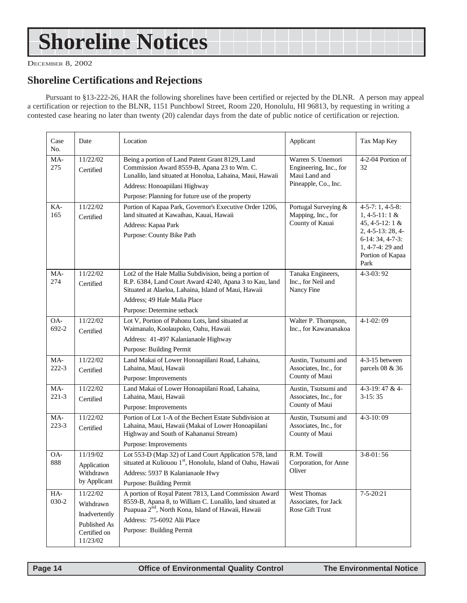## <span id="page-13-0"></span>**Shoreline Notices**

DECEMBER 8, 2002

### **Shoreline Certifications and Rejections**

Pursuant to §13-222-26, HAR the following shorelines have been certified or rejected by the DLNR. A person may appeal a certification or rejection to the BLNR, 1151 Punchbowl Street, Room 220, Honolulu, HI 96813, by requesting in writing a contested case hearing no later than twenty (20) calendar days from the date of public notice of certification or rejection.

| Case<br>No.      | Date                                                                               | Location                                                                                                                                                                                                                                         | Applicant                                                                            | Tax Map Key                                                                                                                                              |
|------------------|------------------------------------------------------------------------------------|--------------------------------------------------------------------------------------------------------------------------------------------------------------------------------------------------------------------------------------------------|--------------------------------------------------------------------------------------|----------------------------------------------------------------------------------------------------------------------------------------------------------|
| MA-<br>275       | 11/22/02<br>Certified                                                              | Being a portion of Land Patent Grant 8129, Land<br>Commission Award 8559-B, Apana 23 to Wm. C.<br>Lunalilo, land situated at Honolua, Lahaina, Maui, Hawaii<br>Address: Honoapiilani Highway<br>Purpose: Planning for future use of the property | Warren S. Unemori<br>Engineering, Inc., for<br>Maui Land and<br>Pineapple, Co., Inc. | 4-2-04 Portion of<br>32                                                                                                                                  |
| KA-<br>165       | 11/22/02<br>Certified                                                              | Portion of Kapaa Park, Governor's Executive Order 1206,<br>land situated at Kawaihau, Kauai, Hawaii<br>Address: Kapaa Park<br>Purpose: County Bike Path                                                                                          | Portugal Surveying &<br>Mapping, Inc., for<br>County of Kauai                        | $4-5-7:1, 4-5-8:$<br>$1, 4 - 5 - 11: 1 &$<br>45, 4-5-12: 1 &<br>$2, 4-5-13: 28, 4-$<br>$6-14:34, 4-7-3:$<br>1, 4-7-4: 29 and<br>Portion of Kapaa<br>Park |
| MA-<br>274       | 11/22/02<br>Certified                                                              | Lot2 of the Hale Mallia Subdivision, being a portion of<br>R.P. 6384, Land Court Award 4240, Apana 3 to Kau, land<br>Situated at Alaeloa, Lahaina, Island of Maui, Hawaii<br>Address; 49 Hale Malia Place<br>Purpose: Determine setback          | Tanaka Engineers,<br>Inc., for Neil and<br>Nancy Fine                                | $4 - 3 - 03:92$                                                                                                                                          |
| OA-<br>692-2     | 11/22/02<br>Certified                                                              | Lot V, Portion of Pahonu Lots, land situated at<br>Waimanalo, Koolaupoko, Oahu, Hawaii<br>Address: 41-497 Kalanianaole Highway<br><b>Purpose: Building Permit</b>                                                                                | Walter P. Thompson,<br>Inc., for Kawananakoa                                         | $4-1-02:09$                                                                                                                                              |
| MA-<br>$222-3$   | 11/22/02<br>Certified                                                              | Land Makai of Lower Honoapiilani Road, Lahaina,<br>Lahaina, Maui, Hawaii<br>Purpose: Improvements                                                                                                                                                | Austin, Tsutsumi and<br>Associates, Inc., for<br>County of Maui                      | 4-3-15 between<br>parcels 08 & 36                                                                                                                        |
| MA-<br>$221 - 3$ | 11/22/02<br>Certified                                                              | Land Makai of Lower Honoapiilani Road, Lahaina,<br>Lahaina, Maui, Hawaii<br>Purpose: Improvements                                                                                                                                                | Austin, Tsutsumi and<br>Associates, Inc., for<br>County of Maui                      | 4-3-19:47 & 4-<br>$3-15:35$                                                                                                                              |
| MA-<br>$223 - 3$ | 11/22/02<br>Certified                                                              | Portion of Lot 1-A of the Bechert Estate Subdivision at<br>Lahaina, Maui, Hawaii (Makai of Lower Honoapiilani<br>Highway and South of Kahananui Stream)<br>Purpose: Improvements                                                                 | Austin, Tsutsumi and<br>Associates, Inc., for<br>County of Maui                      | $4 - 3 - 10:09$                                                                                                                                          |
| OA-<br>888       | 11/19/02<br>Application<br>Withdrawn<br>by Applicant                               | Lot 553-D (Map 32) of Land Court Application 578, land<br>situated at Kuliouou 1st, Honolulu, Island of Oahu, Hawaii<br>Address: 5937 B Kalanianaole Hwy<br>Purpose: Building Permit                                                             | R.M. Towill<br>Corporation, for Anne<br>Oliver                                       | $3 - 8 - 01:56$                                                                                                                                          |
| HA-<br>030-2     | 11/22/02<br>Withdrawn<br>Inadvertently<br>Published As<br>Certified on<br>11/23/02 | A portion of Royal Patent 7813, Land Commission Award<br>8559-B, Apana 8, to William C. Lunalilo, land situated at<br>Puapuaa 2 <sup>nd</sup> , North Kona, Island of Hawaii, Hawaii<br>Address: 75-6092 Alii Place<br>Purpose: Building Permit  | West Thomas<br>Associates, for Jack<br>Rose Gift Trust                               | $7 - 5 - 20:21$                                                                                                                                          |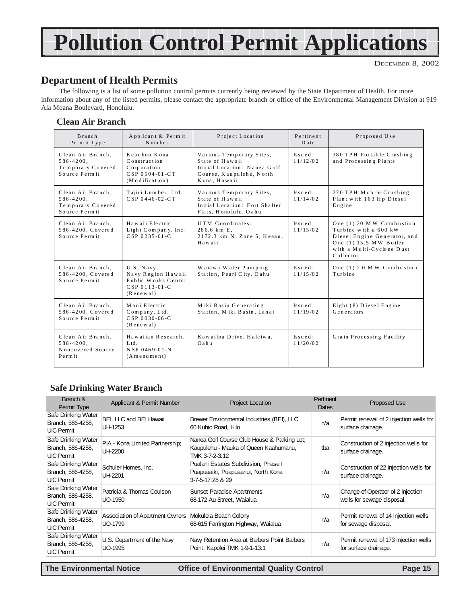## **Pollution Control Permit Applications**

### **Department of Health Permits**

The following is a list of some pollution control permits currently being reviewed by the State Department of Health. For more information about any of the listed permits, please contact the appropriate branch or office of the Environmental Management Division at 919 Ala Moana Boulevard, Honolulu.

#### **Clean Air Branch**

| Branch<br>Permit Type                                                     | Applicant & Permit<br>Num ber                                                            | Project Location                                                                                                        | Pertinent<br>Date         | Proposed Use                                                                                                                                          |
|---------------------------------------------------------------------------|------------------------------------------------------------------------------------------|-------------------------------------------------------------------------------------------------------------------------|---------------------------|-------------------------------------------------------------------------------------------------------------------------------------------------------|
| Clean Air Branch.<br>$586 - 4200$ ,<br>Temporary Covered<br>Source Permit | Keauhou Kona<br>Construction<br>Corporation<br>$CSP 0504 - 01 - CT$<br>(Modification)    | Various Temporary Sites,<br>State of Hawaii<br>Initial Location: Nanea Golf<br>Course, Kaupulehu, North<br>Kona, Hawaii | $Is u \in d:$<br>11/12/02 | 380 TPH Portable Crushing<br>and Processing Plants                                                                                                    |
| Clean Air Branch.<br>$586 - 4200$ ,<br>Temporary Covered<br>Source Permit | Tajiri Lumber, Ltd.<br>$CSP 0446 - 02 - CT$                                              | Various Temporary Sites,<br>State of Hawaii<br>Initial Location: Fort Shafter<br>Flats, Honolulu, Oahu                  | $Is ue d:$<br>11/14/02    | 270 TPH Mobile Crushing<br>Plant with 163 Hp Diesel<br>Engine                                                                                         |
| Clean Air Branch,<br>586-4200, Covered<br>Source Permit                   | Hawaii Electric<br>Light Company, Inc.<br>$CSP 0235 - 01 - C$                            | UTM Coordinates:<br>$286.6 \text{ km} \text{ E}.$<br>2172.3 km N, Zone 5, Keaau,<br>Hawaii                              | $Is ue d:$<br>11/15/02    | One (1) 20 MW Combustion<br>Turbine with a 600 kW<br>Diesel Engine Generator, and<br>One (1) 15.5 MW Boiler<br>with a Multi-Cyclone Dust<br>Collector |
| Clean Air Branch.<br>586-4200, Covered<br>Source Permit                   | U.S. Navy,<br>Navy Region Hawaii<br>Public Works Center<br>CSP 0113-01-C<br>(Rene w a l) | Waiawa Water Pumping<br>Station, Pearl City, Oahu                                                                       | $Is u \in d:$<br>11/15/02 | One $(1)$ 2.0 MW Combustion<br>Turbine                                                                                                                |
| Clean Air Branch,<br>586-4200, Covered<br>Source Permit                   | Maui Electric<br>Company, Ltd.<br>$CSP 0030 - 06 - C$<br>$($ Renewal $)$                 | M iki Basin Generating<br>Station, Miki Basin, Lanai                                                                    | $Is ue d:$<br>11/19/02    | Eight (8) D iesel Engine<br>Generators                                                                                                                |
| Clean Air Branch,<br>$586 - 4200$ ,<br>Noncovered Source<br>Perm it       | Hawaiian Research,<br>Ltd.<br>NSP 0469-01-N<br>$(A \text{ mendment})$                    | Kawailoa Drive, Haleiwa,<br>Oahu                                                                                        | $Is ue d:$<br>11/20/02    | Grain Processing Facility                                                                                                                             |

#### **Safe Drinking Water Branch**

| Branch &<br>Permit Type                                       | Applicant & Permit Number                  | <b>Project Location</b>                                                                                | Pertinent<br>Dates | <b>Proposed Use</b>                                             |
|---------------------------------------------------------------|--------------------------------------------|--------------------------------------------------------------------------------------------------------|--------------------|-----------------------------------------------------------------|
| Safe Drinking Water<br>Branch, 586-4258,<br><b>UIC Permit</b> | BEI, LLC and BEI Hawaii<br>UH-1253         | Brewer Environmental Industries (BEI), LLC<br>60 Kuhio Road, Hilo                                      | n/a                | Permit renewal of 2 injection wells for<br>surface drainage.    |
| Safe Drinking Water<br>Branch, 586-4258,<br><b>UIC Permit</b> | PIA - Kona Limited Partnership;<br>UH-2200 | Nanea Golf Course Club House & Parking Lot;<br>Kaupulehu - Mauka of Queen Kaahumanu,<br>TMK 3-7-2-3:12 | tba                | Construction of 2 injection wells for<br>surface drainage.      |
| Safe Drinking Water<br>Branch, 586-4258,<br><b>UIC Permit</b> | Schuler Homes, Inc.<br>UH-2201             | Pualani Estates Subdivision, Phase I<br>Puapuaaiki, Puapuaanui, North Kona<br>3-7-5-17:28 & 29         | n/a                | Construction of 22 injection wells for<br>surface drainage.     |
| Safe Drinking Water<br>Branch, 586-4258,<br><b>UIC Permit</b> | Patricia & Thomas Coulson<br>UO-1950       | <b>Sunset Paradise Apartments</b><br>68-172 Au Street, Waialua                                         | n/a                | Change-of-Operator of 2 injection<br>wells for sewage disposal. |
| Safe Drinking Water<br>Branch, 586-4258,<br><b>UIC Permit</b> | Association of Apartment Owners<br>UO-1799 | Mokuleia Beach Colony<br>68-615 Farrington Highway, Waialua                                            | n/a                | Permit renewal of 14 injection wells<br>for sewage disposal.    |
| Safe Drinking Water<br>Branch, 586-4258,<br><b>UIC Permit</b> | U.S. Department of the Naw<br>UO-1995      | Navy Retention Area at Barbers Point Barbers<br>Point, Kapolei TMK 1-9-1-13:1                          | n/a                | Permit renewal of 173 injection wells<br>for surface drainage.  |

**The Environmental Notice Office of Environmental Quality Control Page 15**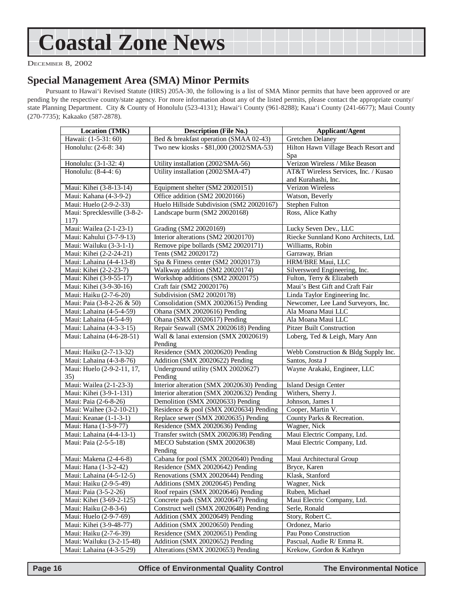## <span id="page-15-0"></span>**Coastal Zone News**

DECEMBER 8, 2002

#### **Special Management Area (SMA) Minor Permits**

Pursuant to Hawai'i Revised Statute (HRS) 205A-30, the following is a list of SMA Minor permits that have been approved or are pending by the respective county/state agency. For more information about any of the listed permits, please contact the appropriate county/ state Planning Department. City & County of Honolulu (523-4131); Hawai'i County (961-8288); Kaua'i County (241-6677); Maui County (270-7735); Kakaako (587-2878).

| <b>Location (TMK)</b>                | <b>Description (File No.)</b>                    | <b>Applicant/Agent</b>                |  |
|--------------------------------------|--------------------------------------------------|---------------------------------------|--|
| Hawaii: (1-5-31: 60)                 | Bed & breakfast operation (SMAA 02-43)           | Gretchen Delaney                      |  |
| Honolulu: (2-6-8: 34)                | Two new kiosks - \$81,000 (2002/SMA-53)          | Hilton Hawn Village Beach Resort and  |  |
|                                      |                                                  | Spa                                   |  |
| Honolulu: (3-1-32: 4)                | Utility installation (2002/SMA-56)               | Verizon Wireless / Mike Beason        |  |
| Honolulu: (8-4-4: 6)                 | Utility installation (2002/SMA-47)               | AT&T Wireless Services, Inc. / Kusao  |  |
|                                      |                                                  | and Kurahashi, Inc.                   |  |
| Maui: Kihei (3-8-13-14)              | Equipment shelter (SM2 20020151)                 | Verizon Wireless                      |  |
| Maui: Kahana (4-3-9-2)               | Office addition (SM2 20020166)                   | Watson, Beverly                       |  |
| Maui: Huelo (2-9-2-33)               | Huelo Hillside Subdivision (SM2 20020167)        | <b>Stephen Fulton</b>                 |  |
| Maui: Sprecklesville (3-8-2-<br>117) | Landscape burm (SM2 20020168)                    | Ross, Alice Kathy                     |  |
| Maui: Wailea (2-1-23-1)              | Grading (SM2 20020169)                           | Lucky Seven Dev., LLC                 |  |
| Maui: Kahului (3-7-9-13)             | Interior alterations (SM2 20020170)              | Riecke Sunnland Kono Architects, Ltd. |  |
| Maui: Wailuku (3-3-1-1)              | Remove pipe bollards (SM2 20020171)              | Williams, Robin                       |  |
| Maui: Kihei (2-2-24-21)              | Tents (SM2 20020172)                             | Garraway, Brian                       |  |
| Maui: Lahaina (4-4-13-8)             | Spa & Fitness center (SM2 20020173)              | HRM/BRE Maui, LLC                     |  |
| Maui: Kihei (2-2-23-7)               | Walkway addition (SM2 20020174)                  | Silversword Engineering, Inc.         |  |
| Maui: Kihei (3-9-55-17)              | Workshop additions (SM2 20020175)                | Fulton, Terry & Elizabeth             |  |
| Maui: Kihei (3-9-30-16)              | Craft fair (SM2 20020176)                        | Maui's Best Gift and Craft Fair       |  |
| Maui: Haiku (2-7-6-20)               | Subdivision (SM2 20020178)                       | Linda Taylor Engineering Inc.         |  |
| Maui: Paia (3-8-2-26 & 50)           | Consolidation (SMX 20020615) Pending             | Newcomer, Lee Land Surveyors, Inc.    |  |
| Maui: Lahaina (4-5-4-59)             | Ohana (SMX 20020616) Pending                     | Ala Moana Maui LLC                    |  |
| Maui: Lahaina (4-5-4-9)              | Ohana (SMX 20020617) Pending                     | Ala Moana Maui LLC                    |  |
| Maui: Lahaina (4-3-3-15)             | Repair Seawall (SMX 20020618) Pending            | <b>Pitzer Built Construction</b>      |  |
| Maui: Lahaina (4-6-28-51)            | Wall & lanai extension (SMX 20020619)<br>Pending | Loberg, Ted & Leigh, Mary Ann         |  |
| Maui: Haiku (2-7-13-32)              | Residence (SMX 20020620) Pending                 | Webb Construction & Bldg Supply Inc.  |  |
| Maui: Lahaina (4-3-8-76)             | Addition (SMX 20020622) Pending                  | Santos, Josta J                       |  |
| Maui: Huelo (2-9-2-11, 17,           | Underground utility (SMX 20020627)               | Wayne Arakaki, Engineer, LLC          |  |
| 35)                                  | Pending                                          |                                       |  |
| Maui: Wailea (2-1-23-3)              | Interior alteration (SMX 20020630) Pending       | <b>Island Design Center</b>           |  |
| Maui: Kihei (3-9-1-131)              | Interior alteration (SMX 20020632) Pending       | Withers, Sherry J.                    |  |
| Maui: Paia (2-6-8-26)                | Demolition (SMX 20020633) Pending                | Johnson, James I                      |  |
| Maui: Waihee (3-2-10-21)             | Residence & pool (SMX 20020634) Pending          | Cooper, Martin V.                     |  |
| Maui: Keanae (1-1-3-1)               | Replace sewer (SMX 20020635) Pending             | County Parks & Recreation.            |  |
| Maui: Hana (1-3-9-77)                | Residence (SMX 20020636) Pending                 | Wagner, Nick                          |  |
| Maui: Lahaina (4-4-13-1)             | Transfer switch (SMX 20020638) Pending           | Maui Electric Company, Ltd.           |  |
| Maui: Paia (2-5-5-18)                | MECO Substation (SMX 20020638)                   | Maui Electric Company, Ltd.           |  |
|                                      | Pending                                          |                                       |  |
| Maui: Makena (2-4-6-8)               | Cabana for pool (SMX 20020640) Pending           | Maui Architectural Group              |  |
| Maui: Hana (1-3-2-42)                | Residence (SMX 20020642) Pending                 | Bryce, Karen                          |  |
| Maui: Lahaina (4-5-12-5)             | Renovations (SMX 20020644) Pending               | Klask, Stanford                       |  |
| Maui: Haiku (2-9-5-49)               | Additions (SMX 20020645) Pending                 | Wagner, Nick                          |  |
| Maui: Paia (3-5-2-26)                | Roof repairs (SMX 20020646) Pending              | Ruben, Michael                        |  |
| Maui: Kihei (3-69-2-125)             | Concrete pads (SMX 20020647) Pending             | Maui Electric Company, Ltd.           |  |
| Maui: Haiku (2-8-3-6)                | Construct well (SMX 20020648) Pending            | Serle, Ronald                         |  |
| Maui: Huelo (2-9-7-69)               | Addition (SMX 20020649) Pending                  | Story, Robert C.                      |  |
| Maui: Kihei (3-9-48-77)              | Addition (SMX 20020650) Pending                  | Ordonez, Mario                        |  |
| Maui: Haiku (2-7-6-39)               | Residence (SMX 20020651) Pending                 | Pau Pono Construction                 |  |
| Maui: Wailuku (3-2-15-48)            | Addition (SMX 20020652) Pending                  | Pascual, Audie R/ Emma R.             |  |
| Maui: Lahaina (4-3-5-29)             | Alterations (SMX 20020653) Pending               | Krekow, Gordon & Kathryn              |  |

 **Page 16 Control Control Control Control Page 16 Control Page 16 Control Page 16 Control Page 16 Control Page 16 Control Page 16 Control Page 16 Control Page 16 Control Page 16 Control Page 16 Control Page 16 Control Page**